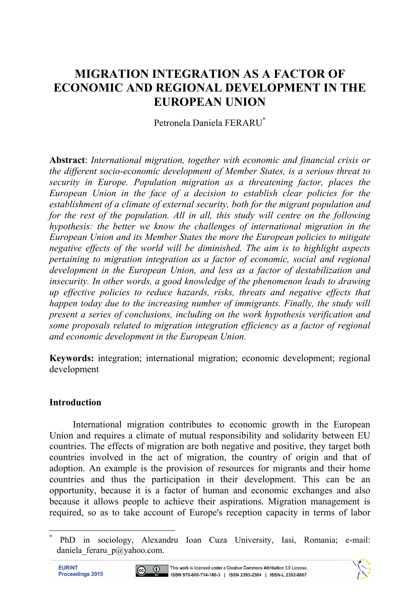# **MIGRATION INTEGRATION AS A FACTOR OF ECONOMIC AND REGIONAL DEVELOPMENT IN THE EUROPEAN UNION**

Petronela Daniela FERARU\*

**Abstract**: *International migration, together with economic and financial crisis or the different socio-economic development of Member States, is a serious threat to security in Europe. Population migration as a threatening factor, places the European Union in the face of a decision to establish clear policies for the establishment of a climate of external security, both for the migrant population and for the rest of the population. All in all, this study will centre on the following hypothesis: the better we know the challenges of international migration in the European Union and its Member States the more the European policies to mitigate negative effects of the world will be diminished. The aim is to highlight aspects pertaining to migration integration as a factor of economic, social and regional development in the European Union, and less as a factor of destabilization and insecurity. In other words, a good knowledge of the phenomenon leads to drawing up effective policies to reduce hazards, risks, threats and negative effects that happen today due to the increasing number of immigrants. Finally, the study will present a series of conclusions, including on the work hypothesis verification and some proposals related to migration integration efficiency as a factor of regional and economic development in the European Union.* 

**Keywords:** integration; international migration; economic development; regional development

#### **Introduction**

International migration contributes to economic growth in the European Union and requires a climate of mutual responsibility and solidarity between EU countries. The effects of migration are both negative and positive, they target both countries involved in the act of migration, the country of origin and that of adoption. An example is the provision of resources for migrants and their home countries and thus the participation in their development. This can be an opportunity, because it is a factor of human and economic exchanges and also because it allows people to achieve their aspirations. Migration management is required, so as to take account of Europe's reception capacity in terms of labor

l





<sup>\*</sup> PhD in sociology, Alexandru Ioan Cuza University, Iasi, Romania; e-mail: daniela feraru p@yahoo.com.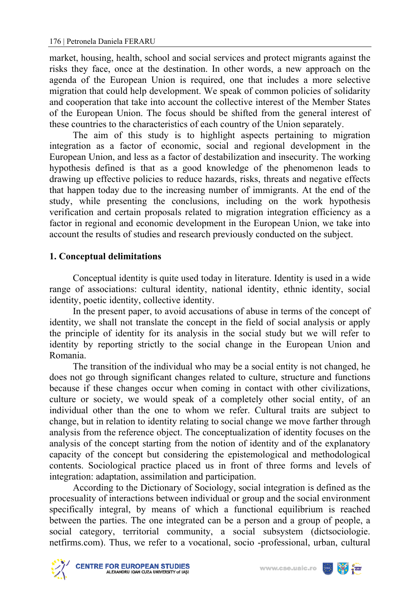market, housing, health, school and social services and protect migrants against the risks they face, once at the destination. In other words, a new approach on the agenda of the European Union is required, one that includes a more selective migration that could help development. We speak of common policies of solidarity and cooperation that take into account the collective interest of the Member States of the European Union. The focus should be shifted from the general interest of these countries to the characteristics of each country of the Union separately.

The aim of this study is to highlight aspects pertaining to migration integration as a factor of economic, social and regional development in the European Union, and less as a factor of destabilization and insecurity. The working hypothesis defined is that as a good knowledge of the phenomenon leads to drawing up effective policies to reduce hazards, risks, threats and negative effects that happen today due to the increasing number of immigrants. At the end of the study, while presenting the conclusions, including on the work hypothesis verification and certain proposals related to migration integration efficiency as a factor in regional and economic development in the European Union, we take into account the results of studies and research previously conducted on the subject.

#### **1. Conceptual delimitations**

Conceptual identity is quite used today in literature. Identity is used in a wide range of associations: cultural identity, national identity, ethnic identity, social identity, poetic identity, collective identity.

In the present paper, to avoid accusations of abuse in terms of the concept of identity, we shall not translate the concept in the field of social analysis or apply the principle of identity for its analysis in the social study but we will refer to identity by reporting strictly to the social change in the European Union and Romania.

The transition of the individual who may be a social entity is not changed, he does not go through significant changes related to culture, structure and functions because if these changes occur when coming in contact with other civilizations, culture or society, we would speak of a completely other social entity, of an individual other than the one to whom we refer. Cultural traits are subject to change, but in relation to identity relating to social change we move farther through analysis from the reference object. The conceptualization of identity focuses on the analysis of the concept starting from the notion of identity and of the explanatory capacity of the concept but considering the epistemological and methodological contents. Sociological practice placed us in front of three forms and levels of integration: adaptation, assimilation and participation.

According to the Dictionary of Sociology, social integration is defined as the procesuality of interactions between individual or group and the social environment specifically integral, by means of which a functional equilibrium is reached between the parties. The one integrated can be a person and a group of people, a social category, territorial community, a social subsystem (dictsociologie. netfirms.com). Thus, we refer to a vocational, socio -professional, urban, cultural



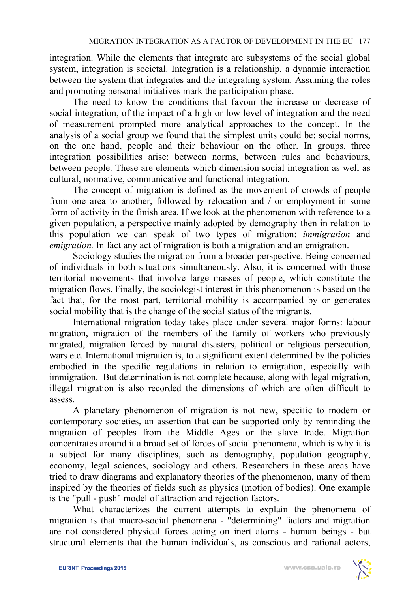integration. While the elements that integrate are subsystems of the social global system, integration is societal. Integration is a relationship, a dynamic interaction between the system that integrates and the integrating system. Assuming the roles and promoting personal initiatives mark the participation phase.

The need to know the conditions that favour the increase or decrease of social integration, of the impact of a high or low level of integration and the need of measurement prompted more analytical approaches to the concept. In the analysis of a social group we found that the simplest units could be: social norms, on the one hand, people and their behaviour on the other. In groups, three integration possibilities arise: between norms, between rules and behaviours, between people. These are elements which dimension social integration as well as cultural, normative, communicative and functional integration.

The concept of migration is defined as the movement of crowds of people from one area to another, followed by relocation and / or employment in some form of activity in the finish area. If we look at the phenomenon with reference to a given population, a perspective mainly adopted by demography then in relation to this population we can speak of two types of migration: *immigration* and *emigration*. In fact any act of migration is both a migration and an emigration.

Sociology studies the migration from a broader perspective. Being concerned of individuals in both situations simultaneously. Also, it is concerned with those territorial movements that involve large masses of people, which constitute the migration flows. Finally, the sociologist interest in this phenomenon is based on the fact that, for the most part, territorial mobility is accompanied by or generates social mobility that is the change of the social status of the migrants.

International migration today takes place under several major forms: labour migration, migration of the members of the family of workers who previously migrated, migration forced by natural disasters, political or religious persecution, wars etc. International migration is, to a significant extent determined by the policies embodied in the specific regulations in relation to emigration, especially with immigration. But determination is not complete because, along with legal migration, illegal migration is also recorded the dimensions of which are often difficult to assess.

A planetary phenomenon of migration is not new, specific to modern or contemporary societies, an assertion that can be supported only by reminding the migration of peoples from the Middle Ages or the slave trade. Migration concentrates around it a broad set of forces of social phenomena, which is why it is a subject for many disciplines, such as demography, population geography, economy, legal sciences, sociology and others. Researchers in these areas have tried to draw diagrams and explanatory theories of the phenomenon, many of them inspired by the theories of fields such as physics (motion of bodies). One example is the "pull - push" model of attraction and rejection factors.

What characterizes the current attempts to explain the phenomena of migration is that macro-social phenomena - "determining" factors and migration are not considered physical forces acting on inert atoms - human beings - but structural elements that the human individuals, as conscious and rational actors,

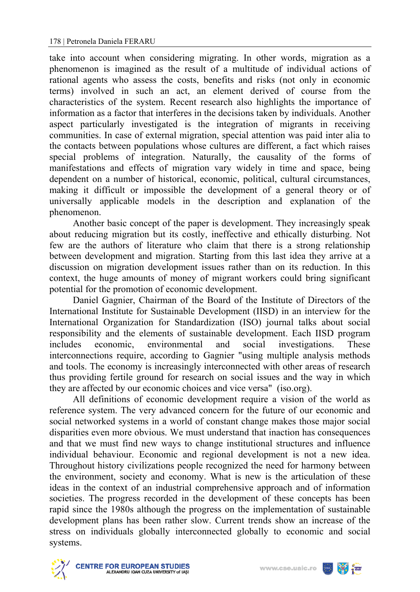take into account when considering migrating. In other words, migration as a phenomenon is imagined as the result of a multitude of individual actions of rational agents who assess the costs, benefits and risks (not only in economic terms) involved in such an act, an element derived of course from the characteristics of the system. Recent research also highlights the importance of information as a factor that interferes in the decisions taken by individuals. Another aspect particularly investigated is the integration of migrants in receiving communities. In case of external migration, special attention was paid inter alia to the contacts between populations whose cultures are different, a fact which raises special problems of integration. Naturally, the causality of the forms of manifestations and effects of migration vary widely in time and space, being dependent on a number of historical, economic, political, cultural circumstances, making it difficult or impossible the development of a general theory or of universally applicable models in the description and explanation of the phenomenon.

Another basic concept of the paper is development. They increasingly speak about reducing migration but its costly, ineffective and ethically disturbing. Not few are the authors of literature who claim that there is a strong relationship between development and migration. Starting from this last idea they arrive at a discussion on migration development issues rather than on its reduction. In this context, the huge amounts of money of migrant workers could bring significant potential for the promotion of economic development.

Daniel Gagnier, Chairman of the Board of the Institute of Directors of the International Institute for Sustainable Development (IISD) in an interview for the International Organization for Standardization (ISO) journal talks about social responsibility and the elements of sustainable development. Each IISD program includes economic, environmental and social investigations. These interconnections require, according to Gagnier "using multiple analysis methods and tools. The economy is increasingly interconnected with other areas of research thus providing fertile ground for research on social issues and the way in which they are affected by our economic choices and vice versa" (iso.org).

All definitions of economic development require a vision of the world as reference system. The very advanced concern for the future of our economic and social networked systems in a world of constant change makes those major social disparities even more obvious. We must understand that inaction has consequences and that we must find new ways to change institutional structures and influence individual behaviour. Economic and regional development is not a new idea. Throughout history civilizations people recognized the need for harmony between the environment, society and economy. What is new is the articulation of these ideas in the context of an industrial comprehensive approach and of information societies. The progress recorded in the development of these concepts has been rapid since the 1980s although the progress on the implementation of sustainable development plans has been rather slow. Current trends show an increase of the stress on individuals globally interconnected globally to economic and social systems.

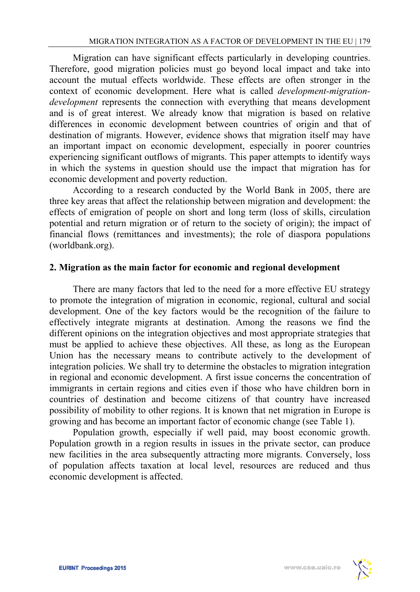Migration can have significant effects particularly in developing countries. Therefore, good migration policies must go beyond local impact and take into account the mutual effects worldwide. These effects are often stronger in the context of economic development. Here what is called *development-migrationdevelopment* represents the connection with everything that means development and is of great interest. We already know that migration is based on relative differences in economic development between countries of origin and that of destination of migrants. However, evidence shows that migration itself may have an important impact on economic development, especially in poorer countries experiencing significant outflows of migrants. This paper attempts to identify ways in which the systems in question should use the impact that migration has for economic development and poverty reduction.

According to a research conducted by the World Bank in 2005, there are three key areas that affect the relationship between migration and development: the effects of emigration of people on short and long term (loss of skills, circulation potential and return migration or of return to the society of origin); the impact of financial flows (remittances and investments); the role of diaspora populations (worldbank.org).

## **2. Migration as the main factor for economic and regional development**

There are many factors that led to the need for a more effective EU strategy to promote the integration of migration in economic, regional, cultural and social development. One of the key factors would be the recognition of the failure to effectively integrate migrants at destination. Among the reasons we find the different opinions on the integration objectives and most appropriate strategies that must be applied to achieve these objectives. All these, as long as the European Union has the necessary means to contribute actively to the development of integration policies. We shall try to determine the obstacles to migration integration in regional and economic development. A first issue concerns the concentration of immigrants in certain regions and cities even if those who have children born in countries of destination and become citizens of that country have increased possibility of mobility to other regions. It is known that net migration in Europe is growing and has become an important factor of economic change (see Table 1).

Population growth, especially if well paid, may boost economic growth. Population growth in a region results in issues in the private sector, can produce new facilities in the area subsequently attracting more migrants. Conversely, loss of population affects taxation at local level, resources are reduced and thus economic development is affected.

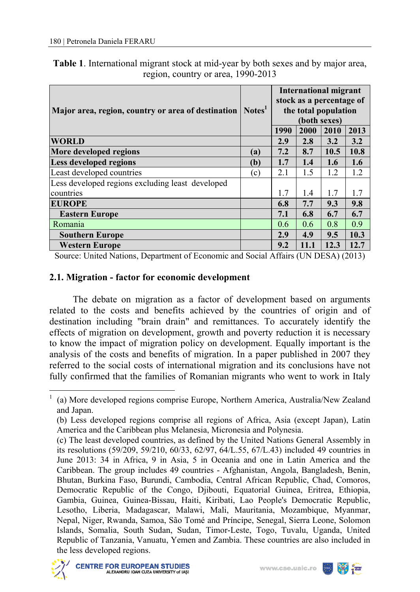| <b>Table 1.</b> International migrant stock at mid-year by both sexes and by major area, |                                    |  |  |
|------------------------------------------------------------------------------------------|------------------------------------|--|--|
|                                                                                          | region, country or area, 1990-2013 |  |  |

| Major area, region, country or area of destination |     | International migrant<br>stock as a percentage of<br>the total population<br>(both sexes)<br>2013<br>1990<br>2000<br>2010 |      |      |      |
|----------------------------------------------------|-----|---------------------------------------------------------------------------------------------------------------------------|------|------|------|
| <b>WORLD</b>                                       |     | 2.9                                                                                                                       | 2.8  | 3.2  | 3.2  |
| More developed regions                             | (a) | 7.2                                                                                                                       | 8.7  | 10.5 | 10.8 |
| <b>Less developed regions</b>                      | (b) | 1.7                                                                                                                       | 1.4  | 1.6  | 1.6  |
| Least developed countries                          | (c) | 2.1                                                                                                                       | 1.5  | 1.2  | 1.2  |
| Less developed regions excluding least developed   |     |                                                                                                                           |      |      |      |
| countries                                          |     | 1.7                                                                                                                       | 1.4  | 1.7  | 1.7  |
| <b>EUROPE</b>                                      |     | 6.8                                                                                                                       | 7.7  | 9.3  | 9.8  |
| <b>Eastern Europe</b>                              |     | 7.1                                                                                                                       | 6.8  | 6.7  | 6.7  |
| Romania                                            |     | 0.6                                                                                                                       | 0.6  | 0.8  | 0.9  |
| <b>Southern Europe</b>                             |     | 2.9                                                                                                                       | 4.9  | 9.5  | 10.3 |
| <b>Western Europe</b>                              |     | 9.2                                                                                                                       | 11.1 | 12.3 | 12.7 |

Source: United Nations, Department of Economic and Social Affairs (UN DESA) (2013)

## **2.1. Migration - factor for economic development**

The debate on migration as a factor of development based on arguments related to the costs and benefits achieved by the countries of origin and of destination including "brain drain" and remittances. To accurately identify the effects of migration on development, growth and poverty reduction it is necessary to know the impact of migration policy on development. Equally important is the analysis of the costs and benefits of migration. In a paper published in 2007 they referred to the social costs of international migration and its conclusions have not fully confirmed that the families of Romanian migrants who went to work in Italy

<sup>(</sup>c) The least developed countries, as defined by the United Nations General Assembly in its resolutions (59/209, 59/210, 60/33, 62/97, 64/L.55, 67/L.43) included 49 countries in June 2013: 34 in Africa, 9 in Asia, 5 in Oceania and one in Latin America and the Caribbean. The group includes 49 countries - Afghanistan, Angola, Bangladesh, Benin, Bhutan, Burkina Faso, Burundi, Cambodia, Central African Republic, Chad, Comoros, Democratic Republic of the Congo, Djibouti, Equatorial Guinea, Eritrea, Ethiopia, Gambia, Guinea, Guinea-Bissau, Haiti, Kiribati, Lao People's Democratic Republic, Lesotho, Liberia, Madagascar, Malawi, Mali, Mauritania, Mozambique, Myanmar, Nepal, Niger, Rwanda, Samoa, São Tomé and Príncipe, Senegal, Sierra Leone, Solomon Islands, Somalia, South Sudan, Sudan, Timor-Leste, Togo, Tuvalu, Uganda, United Republic of Tanzania, Vanuatu, Yemen and Zambia. These countries are also included in the less developed regions.



l



<sup>1</sup> (a) More developed regions comprise Europe, Northern America, Australia/New Zealand and Japan.

<sup>(</sup>b) Less developed regions comprise all regions of Africa, Asia (except Japan), Latin America and the Caribbean plus Melanesia, Micronesia and Polynesia.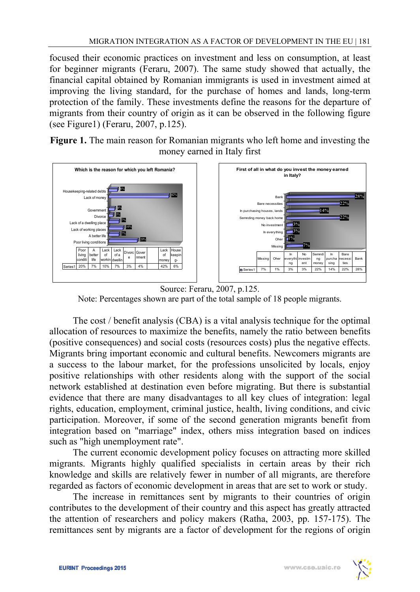focused their economic practices on investment and less on consumption, at least for beginner migrants (Feraru, 2007). The same study showed that actually, the financial capital obtained by Romanian immigrants is used in investment aimed at improving the living standard, for the purchase of homes and lands, long-term protection of the family. These investments define the reasons for the departure of migrants from their country of origin as it can be observed in the following figure (see Figure1) (Feraru, 2007, p.125).

**Figure 1.** The main reason for Romanian migrants who left home and investing the money earned in Italy first



Source: Feraru, 2007, p.125. Note: Percentages shown are part of the total sample of 18 people migrants.

The cost / benefit analysis (CBA) is a vital analysis technique for the optimal allocation of resources to maximize the benefits, namely the ratio between benefits (positive consequences) and social costs (resources costs) plus the negative effects. Migrants bring important economic and cultural benefits. Newcomers migrants are a success to the labour market, for the professions unsolicited by locals, enjoy positive relationships with other residents along with the support of the social network established at destination even before migrating. But there is substantial evidence that there are many disadvantages to all key clues of integration: legal rights, education, employment, criminal justice, health, living conditions, and civic participation. Moreover, if some of the second generation migrants benefit from integration based on "marriage" index, others miss integration based on indices such as "high unemployment rate".

The current economic development policy focuses on attracting more skilled migrants. Migrants highly qualified specialists in certain areas by their rich knowledge and skills are relatively fewer in number of all migrants, are therefore regarded as factors of economic development in areas that are set to work or study.

The increase in remittances sent by migrants to their countries of origin contributes to the development of their country and this aspect has greatly attracted the attention of researchers and policy makers (Ratha, 2003, pp. 157-175). The remittances sent by migrants are a factor of development for the regions of origin

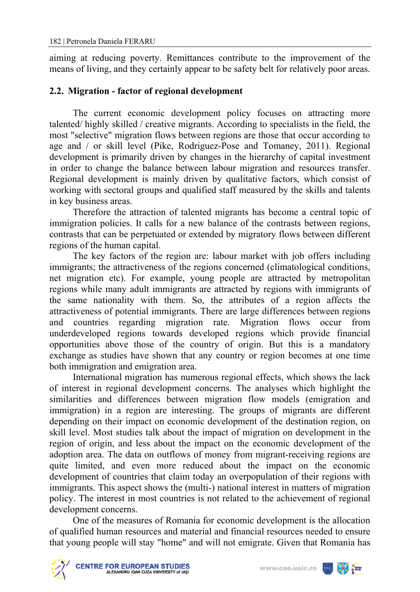aiming at reducing poverty. Remittances contribute to the improvement of the means of living, and they certainly appear to be safety belt for relatively poor areas.

## **2.2. Migration - factor of regional development**

The current economic development policy focuses on attracting more talented/ highly skilled / creative migrants. According to specialists in the field, the most "selective" migration flows between regions are those that occur according to age and / or skill level (Pike, Rodriguez-Pose and Tomaney, 2011). Regional development is primarily driven by changes in the hierarchy of capital investment in order to change the balance between labour migration and resources transfer. Regional development is mainly driven by qualitative factors, which consist of working with sectoral groups and qualified staff measured by the skills and talents in key business areas.

Therefore the attraction of talented migrants has become a central topic of immigration policies. It calls for a new balance of the contrasts between regions, contrasts that can be perpetuated or extended by migratory flows between different regions of the human capital.

The key factors of the region are: labour market with job offers including immigrants; the attractiveness of the regions concerned (climatological conditions, net migration etc). For example, young people are attracted by metropolitan regions while many adult immigrants are attracted by regions with immigrants of the same nationality with them. So, the attributes of a region affects the attractiveness of potential immigrants. There are large differences between regions and countries regarding migration rate. Migration flows occur from underdeveloped regions towards developed regions which provide financial opportunities above those of the country of origin. But this is a mandatory exchange as studies have shown that any country or region becomes at one time both immigration and emigration area.

International migration has numerous regional effects, which shows the lack of interest in regional development concerns. The analyses which highlight the similarities and differences between migration flow models (emigration and immigration) in a region are interesting. The groups of migrants are different depending on their impact on economic development of the destination region, on skill level. Most studies talk about the impact of migration on development in the region of origin, and less about the impact on the economic development of the adoption area. The data on outflows of money from migrant-receiving regions are quite limited, and even more reduced about the impact on the economic development of countries that claim today an overpopulation of their regions with immigrants. This aspect shows the (multi-) national interest in matters of migration policy. The interest in most countries is not related to the achievement of regional development concerns.

One of the measures of Romania for economic development is the allocation of qualified human resources and material and financial resources needed to ensure that young people will stay "home" and will not emigrate. Given that Romania has



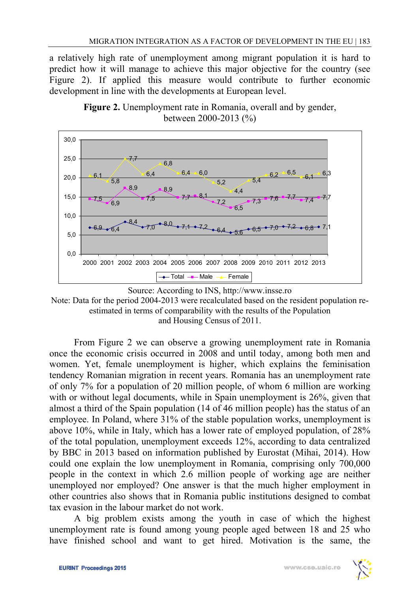a relatively high rate of unemployment among migrant population it is hard to predict how it will manage to achieve this major objective for the country (see Figure 2). If applied this measure would contribute to further economic development in line with the developments at European level.



**Figure 2.** Unemployment rate in Romania, overall and by gender, between 2000-2013 (%)



 From Figure 2 we can observe a growing unemployment rate in Romania once the economic crisis occurred in 2008 and until today, among both men and women. Yet, female unemployment is higher, which explains the feminisation tendency Romanian migration in recent years. Romania has an unemployment rate of only 7% for a population of 20 million people, of whom 6 million are working with or without legal documents, while in Spain unemployment is 26%, given that almost a third of the Spain population (14 of 46 million people) has the status of an employee. In Poland, where 31% of the stable population works, unemployment is above 10%, while in Italy, which has a lower rate of employed population, of 28% of the total population, unemployment exceeds 12%, according to data centralized by BBC in 2013 based on information published by Eurostat (Mihai, 2014). How could one explain the low unemployment in Romania, comprising only 700,000 people in the context in which 2.6 million people of working age are neither unemployed nor employed? One answer is that the much higher employment in other countries also shows that in Romania public institutions designed to combat tax evasion in the labour market do not work.

 A big problem exists among the youth in case of which the highest unemployment rate is found among young people aged between 18 and 25 who have finished school and want to get hired. Motivation is the same, the

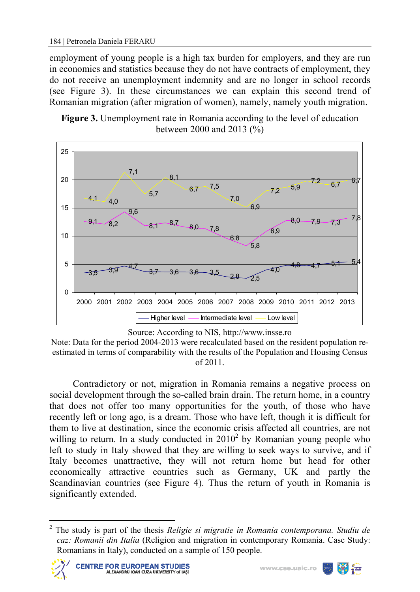employment of young people is a high tax burden for employers, and they are run in economics and statistics because they do not have contracts of employment, they do not receive an unemployment indemnity and are no longer in school records (see Figure 3). In these circumstances we can explain this second trend of Romanian migration (after migration of women), namely, namely youth migration.





Source: According to NIS, http://www.insse.ro

Note: Data for the period 2004-2013 were recalculated based on the resident population reestimated in terms of comparability with the results of the Population and Housing Census of 2011.

Contradictory or not, migration in Romania remains a negative process on social development through the so-called brain drain. The return home, in a country that does not offer too many opportunities for the youth, of those who have recently left or long ago, is a dream. Those who have left, though it is difficult for them to live at destination, since the economic crisis affected all countries, are not willing to return. In a study conducted in  $2010<sup>2</sup>$  by Romanian young people who left to study in Italy showed that they are willing to seek ways to survive, and if Italy becomes unattractive, they will not return home but head for other economically attractive countries such as Germany, UK and partly the Scandinavian countries (see Figure 4). Thus the return of youth in Romania is significantly extended.

<sup>2</sup> The study is part of the thesis *Religie si migratie in Romania contemporana. Studiu de caz: Romanii din Italia* (Religion and migration in contemporary Romania. Case Study: Romanians in Italy), conducted on a sample of 150 people.



l

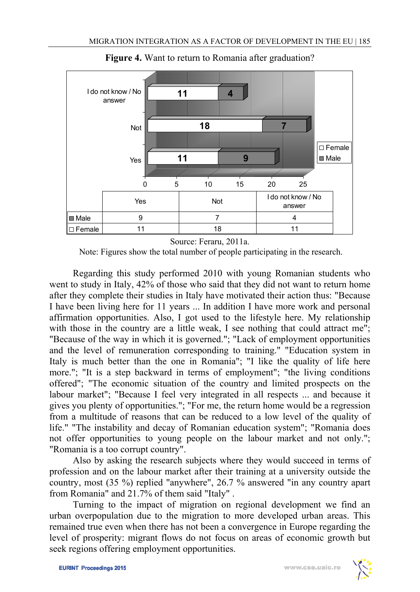

**Figure 4.** Want to return to Romania after graduation?

Source: Feraru, 2011a.

Note: Figures show the total number of people participating in the research.

Regarding this study performed 2010 with young Romanian students who went to study in Italy, 42% of those who said that they did not want to return home after they complete their studies in Italy have motivated their action thus: "Because I have been living here for 11 years ... In addition I have more work and personal affirmation opportunities. Also, I got used to the lifestyle here. My relationship with those in the country are a little weak, I see nothing that could attract me"; "Because of the way in which it is governed."; "Lack of employment opportunities and the level of remuneration corresponding to training." "Education system in Italy is much better than the one in Romania"; "I like the quality of life here more."; "It is a step backward in terms of employment"; "the living conditions offered"; "The economic situation of the country and limited prospects on the labour market"; "Because I feel very integrated in all respects ... and because it gives you plenty of opportunities."; "For me, the return home would be a regression from a multitude of reasons that can be reduced to a low level of the quality of life." "The instability and decay of Romanian education system"; "Romania does not offer opportunities to young people on the labour market and not only."; "Romania is a too corrupt country".

 Also by asking the research subjects where they would succeed in terms of profession and on the labour market after their training at a university outside the country, most (35 %) replied "anywhere", 26.7 % answered "in any country apart from Romania" and 21.7% of them said "Italy" .

Turning to the impact of migration on regional development we find an urban overpopulation due to the migration to more developed urban areas. This remained true even when there has not been a convergence in Europe regarding the level of prosperity: migrant flows do not focus on areas of economic growth but seek regions offering employment opportunities.

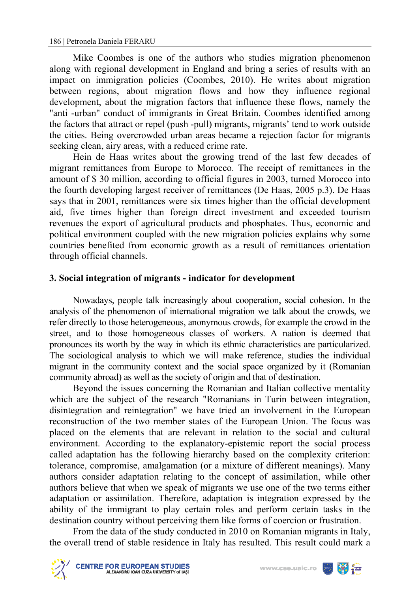Mike Coombes is one of the authors who studies migration phenomenon along with regional development in England and bring a series of results with an impact on immigration policies (Coombes, 2010). He writes about migration between regions, about migration flows and how they influence regional development, about the migration factors that influence these flows, namely the "anti -urban" conduct of immigrants in Great Britain. Coombes identified among the factors that attract or repel (push -pull) migrants, migrants' tend to work outside the cities. Being overcrowded urban areas became a rejection factor for migrants seeking clean, airy areas, with a reduced crime rate.

Hein de Haas writes about the growing trend of the last few decades of migrant remittances from Europe to Morocco. The receipt of remittances in the amount of \$ 30 million, according to official figures in 2003, turned Morocco into the fourth developing largest receiver of remittances (De Haas, 2005 p.3). De Haas says that in 2001, remittances were six times higher than the official development aid, five times higher than foreign direct investment and exceeded tourism revenues the export of agricultural products and phosphates. Thus, economic and political environment coupled with the new migration policies explains why some countries benefited from economic growth as a result of remittances orientation through official channels.

## **3. Social integration of migrants - indicator for development**

Nowadays, people talk increasingly about cooperation, social cohesion. In the analysis of the phenomenon of international migration we talk about the crowds, we refer directly to those heterogeneous, anonymous crowds, for example the crowd in the street, and to those homogeneous classes of workers. A nation is deemed that pronounces its worth by the way in which its ethnic characteristics are particularized. The sociological analysis to which we will make reference, studies the individual migrant in the community context and the social space organized by it (Romanian community abroad) as well as the society of origin and that of destination.

 Beyond the issues concerning the Romanian and Italian collective mentality which are the subject of the research "Romanians in Turin between integration, disintegration and reintegration" we have tried an involvement in the European reconstruction of the two member states of the European Union. The focus was placed on the elements that are relevant in relation to the social and cultural environment. According to the explanatory-epistemic report the social process called adaptation has the following hierarchy based on the complexity criterion: tolerance, compromise, amalgamation (or a mixture of different meanings). Many authors consider adaptation relating to the concept of assimilation, while other authors believe that when we speak of migrants we use one of the two terms either adaptation or assimilation. Therefore, adaptation is integration expressed by the ability of the immigrant to play certain roles and perform certain tasks in the destination country without perceiving them like forms of coercion or frustration.

 From the data of the study conducted in 2010 on Romanian migrants in Italy, the overall trend of stable residence in Italy has resulted. This result could mark a



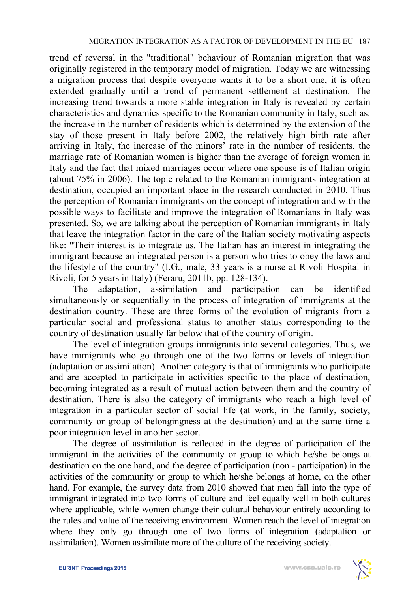trend of reversal in the "traditional" behaviour of Romanian migration that was originally registered in the temporary model of migration. Today we are witnessing a migration process that despite everyone wants it to be a short one, it is often extended gradually until a trend of permanent settlement at destination. The increasing trend towards a more stable integration in Italy is revealed by certain characteristics and dynamics specific to the Romanian community in Italy, such as: the increase in the number of residents which is determined by the extension of the stay of those present in Italy before 2002, the relatively high birth rate after arriving in Italy, the increase of the minors' rate in the number of residents, the marriage rate of Romanian women is higher than the average of foreign women in Italy and the fact that mixed marriages occur where one spouse is of Italian origin (about 75% in 2006). The topic related to the Romanian immigrants integration at destination, occupied an important place in the research conducted in 2010. Thus the perception of Romanian immigrants on the concept of integration and with the possible ways to facilitate and improve the integration of Romanians in Italy was presented. So, we are talking about the perception of Romanian immigrants in Italy that leave the integration factor in the care of the Italian society motivating aspects like: "Their interest is to integrate us. The Italian has an interest in integrating the immigrant because an integrated person is a person who tries to obey the laws and the lifestyle of the country" (I.G., male, 33 years is a nurse at Rivoli Hospital in Rivoli, for 5 years in Italy) (Feraru, 2011b, pp. 128-134).

The adaptation, assimilation and participation can be identified simultaneously or sequentially in the process of integration of immigrants at the destination country. These are three forms of the evolution of migrants from a particular social and professional status to another status corresponding to the country of destination usually far below that of the country of origin.

 The level of integration groups immigrants into several categories. Thus, we have immigrants who go through one of the two forms or levels of integration (adaptation or assimilation). Another category is that of immigrants who participate and are accepted to participate in activities specific to the place of destination, becoming integrated as a result of mutual action between them and the country of destination. There is also the category of immigrants who reach a high level of integration in a particular sector of social life (at work, in the family, society, community or group of belongingness at the destination) and at the same time a poor integration level in another sector.

The degree of assimilation is reflected in the degree of participation of the immigrant in the activities of the community or group to which he/she belongs at destination on the one hand, and the degree of participation (non - participation) in the activities of the community or group to which he/she belongs at home, on the other hand. For example, the survey data from 2010 showed that men fall into the type of immigrant integrated into two forms of culture and feel equally well in both cultures where applicable, while women change their cultural behaviour entirely according to the rules and value of the receiving environment. Women reach the level of integration where they only go through one of two forms of integration (adaptation or assimilation). Women assimilate more of the culture of the receiving society.

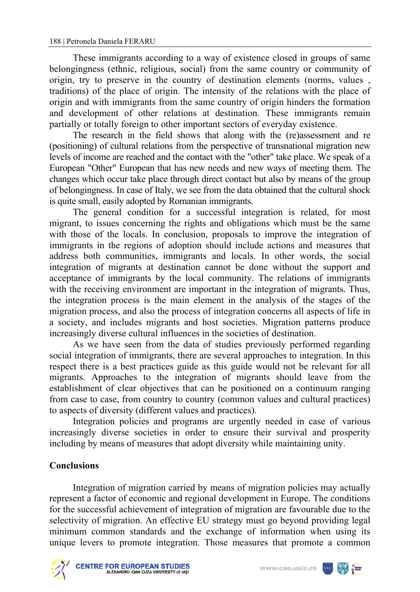These immigrants according to a way of existence closed in groups of same belongingness (ethnic, religious, social) from the same country or community of origin, try to preserve in the country of destination elements (norms, values , traditions) of the place of origin. The intensity of the relations with the place of origin and with immigrants from the same country of origin hinders the formation and development of other relations at destination. These immigrants remain partially or totally foreign to other important sectors of everyday existence.

The research in the field shows that along with the (re)assessment and re (positioning) of cultural relations from the perspective of transnational migration new levels of income are reached and the contact with the "other" take place. We speak of a European "Other" European that has new needs and new ways of meeting them. The changes which occur take place through direct contact but also by means of the group of belongingness. In case of Italy, we see from the data obtained that the cultural shock is quite small, easily adopted by Romanian immigrants.

The general condition for a successful integration is related, for most migrant, to issues concerning the rights and obligations which must be the same with those of the locals. In conclusion, proposals to improve the integration of immigrants in the regions of adoption should include actions and measures that address both communities, immigrants and locals. In other words, the social integration of migrants at destination cannot be done without the support and acceptance of immigrants by the local community. The relations of immigrants with the receiving environment are important in the integration of migrants. Thus, the integration process is the main element in the analysis of the stages of the migration process, and also the process of integration concerns all aspects of life in a society, and includes migrants and host societies. Migration patterns produce increasingly diverse cultural influences in the societies of destination.

As we have seen from the data of studies previously performed regarding social integration of immigrants, there are several approaches to integration. In this respect there is a best practices guide as this guide would not be relevant for all migrants. Approaches to the integration of migrants should leave from the establishment of clear objectives that can be positioned on a continuum ranging from case to case, from country to country (common values and cultural practices) to aspects of diversity (different values and practices).

Integration policies and programs are urgently needed in case of various increasingly diverse societies in order to ensure their survival and prosperity including by means of measures that adopt diversity while maintaining unity.

## **Conclusions**

Integration of migration carried by means of migration policies may actually represent a factor of economic and regional development in Europe. The conditions for the successful achievement of integration of migration are favourable due to the selectivity of migration. An effective EU strategy must go beyond providing legal minimum common standards and the exchange of information when using its unique levers to promote integration. Those measures that promote a common



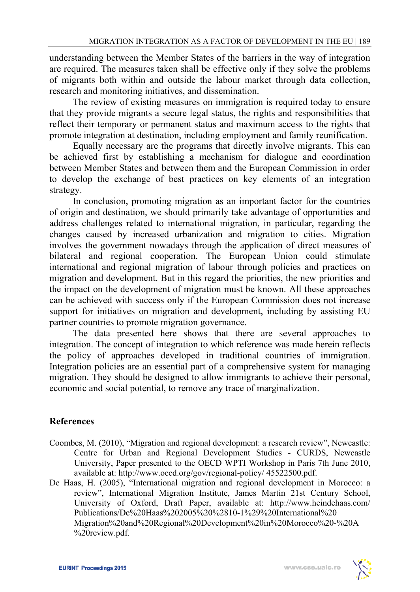understanding between the Member States of the barriers in the way of integration are required. The measures taken shall be effective only if they solve the problems of migrants both within and outside the labour market through data collection, research and monitoring initiatives, and dissemination.

The review of existing measures on immigration is required today to ensure that they provide migrants a secure legal status, the rights and responsibilities that reflect their temporary or permanent status and maximum access to the rights that promote integration at destination, including employment and family reunification.

Equally necessary are the programs that directly involve migrants. This can be achieved first by establishing a mechanism for dialogue and coordination between Member States and between them and the European Commission in order to develop the exchange of best practices on key elements of an integration strategy.

In conclusion, promoting migration as an important factor for the countries of origin and destination, we should primarily take advantage of opportunities and address challenges related to international migration, in particular, regarding the changes caused by increased urbanization and migration to cities. Migration involves the government nowadays through the application of direct measures of bilateral and regional cooperation. The European Union could stimulate international and regional migration of labour through policies and practices on migration and development. But in this regard the priorities, the new priorities and the impact on the development of migration must be known. All these approaches can be achieved with success only if the European Commission does not increase support for initiatives on migration and development, including by assisting EU partner countries to promote migration governance.

The data presented here shows that there are several approaches to integration. The concept of integration to which reference was made herein reflects the policy of approaches developed in traditional countries of immigration. Integration policies are an essential part of a comprehensive system for managing migration. They should be designed to allow immigrants to achieve their personal, economic and social potential, to remove any trace of marginalization.

## **References**

- Coombes, M. (2010), "Migration and regional development: a research review", Newcastle: Centre for Urban and Regional Development Studies - CURDS, Newcastle University, Paper presented to the OECD WPTI Workshop in Paris 7th June 2010, available at: http://www.oecd.org/gov/regional-policy/ 45522500.pdf.
- De Haas, H. (2005), "International migration and regional development in Morocco: a review", International Migration Institute, James Martin 21st Century School, University of Oxford, Draft Paper, available at: http://www.heindehaas.com/ Publications/De%20Haas%202005%20%2810-1%29%20International%20 Migration%20and%20Regional%20Development%20in%20Morocco%20-%20A %20review.pdf.